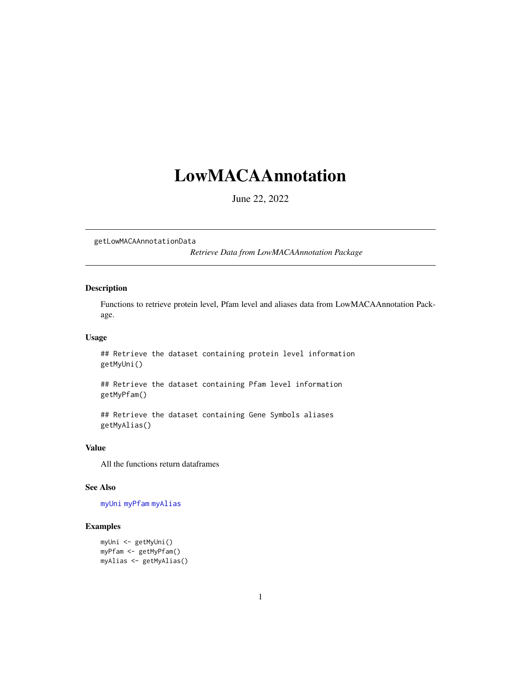# <span id="page-0-0"></span>LowMACAAnnotation

June 22, 2022

getLowMACAAnnotationData

*Retrieve Data from LowMACAAnnotation Package*

#### Description

Functions to retrieve protein level, Pfam level and aliases data from LowMACAAnnotation Package.

### Usage

## Retrieve the dataset containing protein level information getMyUni()

## Retrieve the dataset containing Pfam level information getMyPfam()

## Retrieve the dataset containing Gene Symbols aliases getMyAlias()

#### Value

All the functions return dataframes

## See Also

[myUni](#page-3-0) [myPfam](#page-2-0) [myAlias](#page-1-0)

#### Examples

```
myUni <- getMyUni()
myPfam <- getMyPfam()
myAlias <- getMyAlias()
```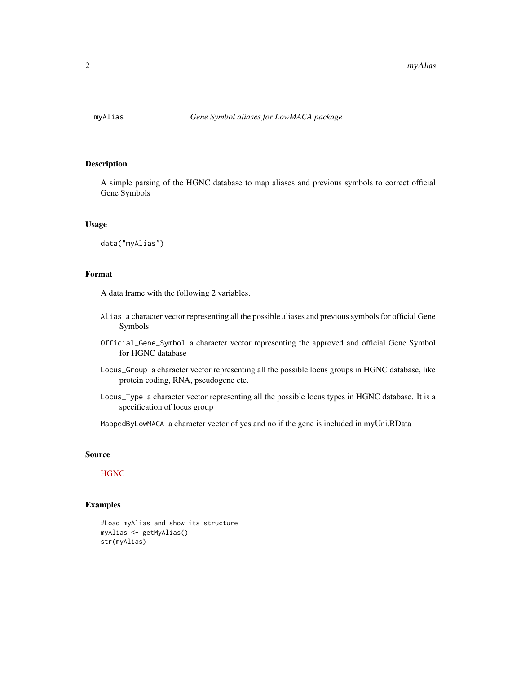<span id="page-1-1"></span><span id="page-1-0"></span>

#### Description

A simple parsing of the HGNC database to map aliases and previous symbols to correct official Gene Symbols

#### Usage

data("myAlias")

#### Format

A data frame with the following 2 variables.

- Alias a character vector representing all the possible aliases and previous symbols for official Gene Symbols
- Official\_Gene\_Symbol a character vector representing the approved and official Gene Symbol for HGNC database
- Locus\_Group a character vector representing all the possible locus groups in HGNC database, like protein coding, RNA, pseudogene etc.
- Locus\_Type a character vector representing all the possible locus types in HGNC database. It is a specification of locus group

MappedByLowMACA a character vector of yes and no if the gene is included in myUni.RData

#### Source

#### **[HGNC](http://www.genenames.org/)**

# Examples

```
#Load myAlias and show its structure
myAlias <- getMyAlias()
str(myAlias)
```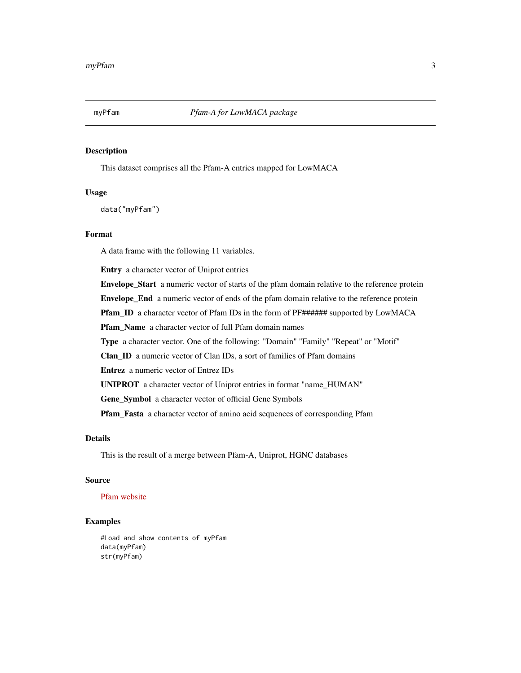<span id="page-2-1"></span><span id="page-2-0"></span>

### Description

This dataset comprises all the Pfam-A entries mapped for LowMACA

#### Usage

data("myPfam")

## Format

A data frame with the following 11 variables.

Entry a character vector of Uniprot entries

Envelope\_Start a numeric vector of starts of the pfam domain relative to the reference protein Envelope\_End a numeric vector of ends of the pfam domain relative to the reference protein Pfam\_ID a character vector of Pfam IDs in the form of PF###### supported by LowMACA Pfam\_Name a character vector of full Pfam domain names Type a character vector. One of the following: "Domain" "Family" "Repeat" or "Motif" Clan\_ID a numeric vector of Clan IDs, a sort of families of Pfam domains Entrez a numeric vector of Entrez IDs UNIPROT a character vector of Uniprot entries in format "name\_HUMAN"

Gene\_Symbol a character vector of official Gene Symbols

Pfam\_Fasta a character vector of amino acid sequences of corresponding Pfam

# Details

This is the result of a merge between Pfam-A, Uniprot, HGNC databases

#### Source

## [Pfam website](http://pfam.xfam.org/)

#### Examples

#Load and show contents of myPfam data(myPfam) str(myPfam)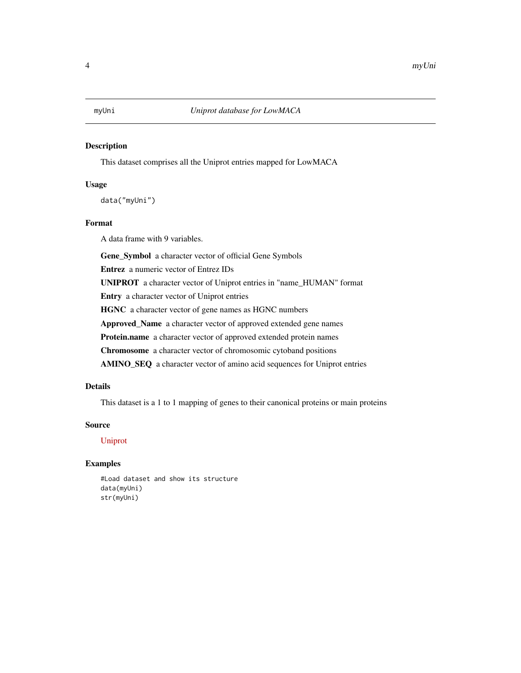<span id="page-3-1"></span><span id="page-3-0"></span>

# Description

This dataset comprises all the Uniprot entries mapped for LowMACA

#### Usage

data("myUni")

## Format

A data frame with 9 variables.

Gene\_Symbol a character vector of official Gene Symbols

Entrez a numeric vector of Entrez IDs

UNIPROT a character vector of Uniprot entries in "name\_HUMAN" format

Entry a character vector of Uniprot entries

HGNC a character vector of gene names as HGNC numbers

Approved\_Name a character vector of approved extended gene names

Protein.name a character vector of approved extended protein names

Chromosome a character vector of chromosomic cytoband positions

AMINO\_SEQ a character vector of amino acid sequences for Uniprot entries

# Details

This dataset is a 1 to 1 mapping of genes to their canonical proteins or main proteins

# Source

[Uniprot](http://www.uniprot.org/)

# Examples

#Load dataset and show its structure data(myUni) str(myUni)